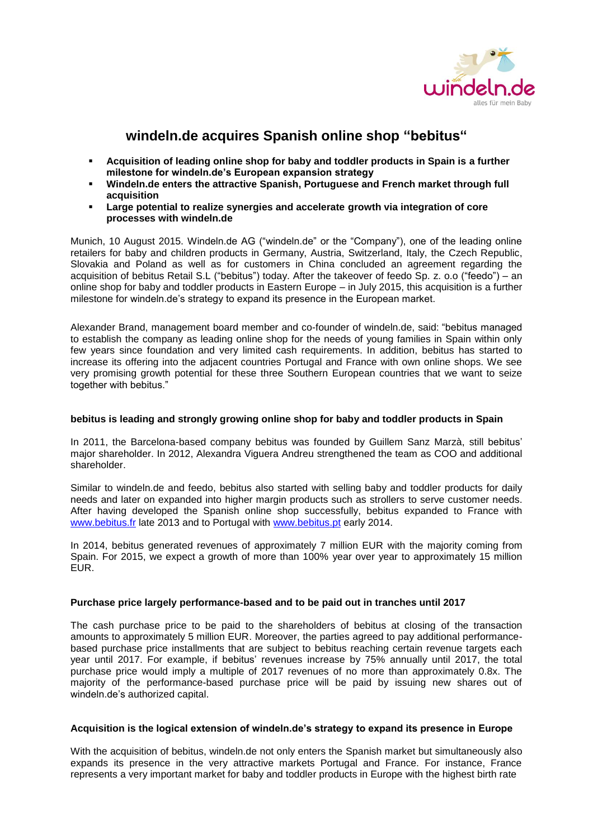

# **windeln.de acquires Spanish online shop "bebitus"**

- **Acquisition of leading online shop for baby and toddler products in Spain is a further milestone for windeln.de's European expansion strategy**
- **Windeln.de enters the attractive Spanish, Portuguese and French market through full acquisition**
- **Large potential to realize synergies and accelerate growth via integration of core processes with windeln.de**

Munich, 10 August 2015. Windeln.de AG ("windeln.de" or the "Company"), one of the leading online retailers for baby and children products in Germany, Austria, Switzerland, Italy, the Czech Republic, Slovakia and Poland as well as for customers in China concluded an agreement regarding the acquisition of bebitus Retail S.L ("bebitus") today. After the takeover of feedo Sp. z. o.o ("feedo") – an online shop for baby and toddler products in Eastern Europe – in July 2015, this acquisition is a further milestone for windeln.de's strategy to expand its presence in the European market.

Alexander Brand, management board member and co-founder of windeln.de, said: "bebitus managed to establish the company as leading online shop for the needs of young families in Spain within only few years since foundation and very limited cash requirements. In addition, bebitus has started to increase its offering into the adjacent countries Portugal and France with own online shops. We see very promising growth potential for these three Southern European countries that we want to seize together with bebitus."

#### **bebitus is leading and strongly growing online shop for baby and toddler products in Spain**

In 2011, the Barcelona-based company bebitus was founded by Guillem Sanz Marzà, still bebitus' major shareholder. In 2012, Alexandra Viguera Andreu strengthened the team as COO and additional shareholder.

Similar to windeln.de and feedo, bebitus also started with selling baby and toddler products for daily needs and later on expanded into higher margin products such as strollers to serve customer needs. After having developed the Spanish online shop successfully, bebitus expanded to France with [www.bebitus.fr](http://www.bebitus.fr/) late 2013 and to Portugal with [www.bebitus.pt](http://www.bebitus.pt/) early 2014.

In 2014, bebitus generated revenues of approximately 7 million EUR with the majority coming from Spain. For 2015, we expect a growth of more than 100% year over year to approximately 15 million EUR.

## **Purchase price largely performance-based and to be paid out in tranches until 2017**

The cash purchase price to be paid to the shareholders of bebitus at closing of the transaction amounts to approximately 5 million EUR. Moreover, the parties agreed to pay additional performancebased purchase price installments that are subject to bebitus reaching certain revenue targets each year until 2017. For example, if bebitus' revenues increase by 75% annually until 2017, the total purchase price would imply a multiple of 2017 revenues of no more than approximately 0.8x. The majority of the performance-based purchase price will be paid by issuing new shares out of windeln.de's authorized capital.

## **Acquisition is the logical extension of windeln.de's strategy to expand its presence in Europe**

With the acquisition of bebitus, windeln.de not only enters the Spanish market but simultaneously also expands its presence in the very attractive markets Portugal and France. For instance, France represents a very important market for baby and toddler products in Europe with the highest birth rate